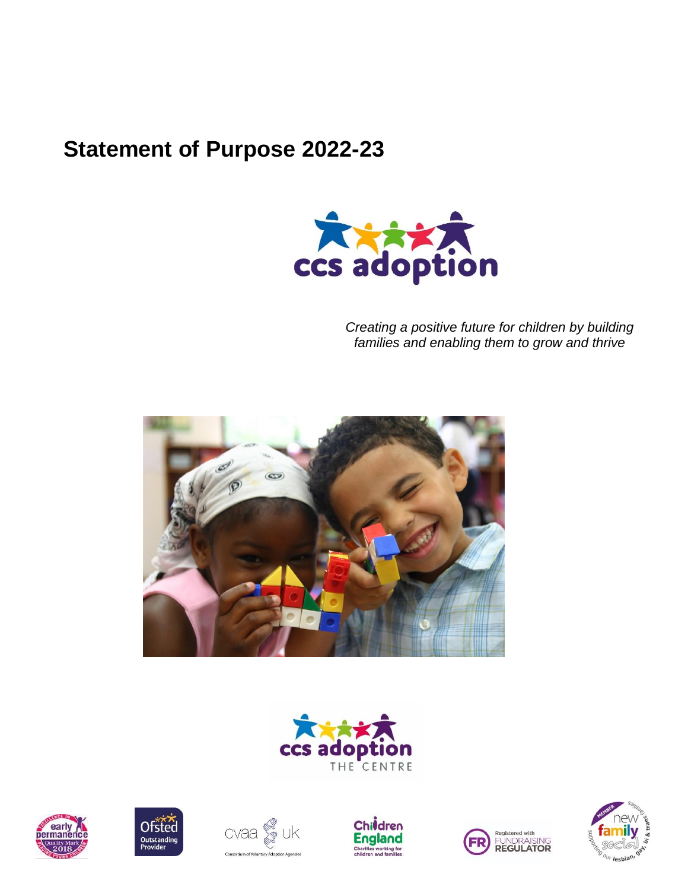# **Statement of Purpose 2022-23**



*Creating a positive future for children by building families and enabling them to grow and thrive*















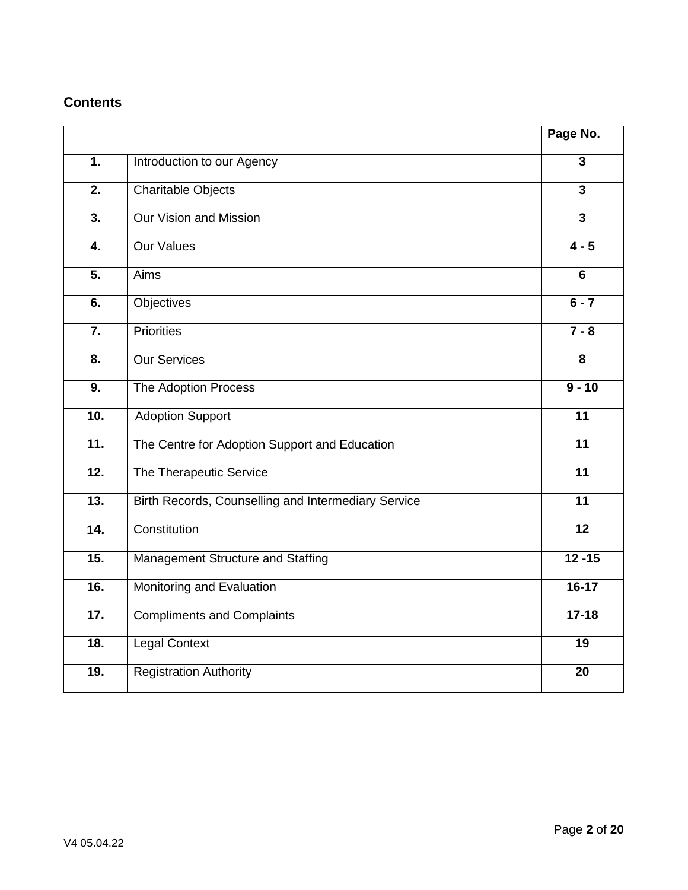# **Contents**

|                   |                                                     | Page No.                |
|-------------------|-----------------------------------------------------|-------------------------|
| 1.                | Introduction to our Agency                          | $\overline{\mathbf{3}}$ |
| $\overline{2}$ .  | <b>Charitable Objects</b>                           | $\overline{3}$          |
| 3.                | <b>Our Vision and Mission</b>                       | $\overline{3}$          |
| 4.                | <b>Our Values</b>                                   | $4 - 5$                 |
| 5.                | Aims                                                | 6                       |
| 6.                | <b>Objectives</b>                                   | $6 - 7$                 |
| 7.                | <b>Priorities</b>                                   | $7 - 8$                 |
| $\overline{8}$ .  | <b>Our Services</b>                                 | $\overline{\mathbf{8}}$ |
| 9.                | The Adoption Process                                | $9 - 10$                |
| 10.               | <b>Adoption Support</b>                             | 11                      |
| $\overline{11}$ . | The Centre for Adoption Support and Education       | $\overline{11}$         |
| $\overline{12}$ . | The Therapeutic Service                             | $\overline{11}$         |
| $\overline{13}$ . | Birth Records, Counselling and Intermediary Service | $\overline{11}$         |
| 14.               | Constitution                                        | $\overline{12}$         |
| 15.               | Management Structure and Staffing                   | $12 - 15$               |
| 16.               | Monitoring and Evaluation                           | $16-17$                 |
| 17.               | <b>Compliments and Complaints</b>                   | $17 - 18$               |
| 18.               | <b>Legal Context</b>                                | 19                      |
| 19.               | <b>Registration Authority</b>                       | 20                      |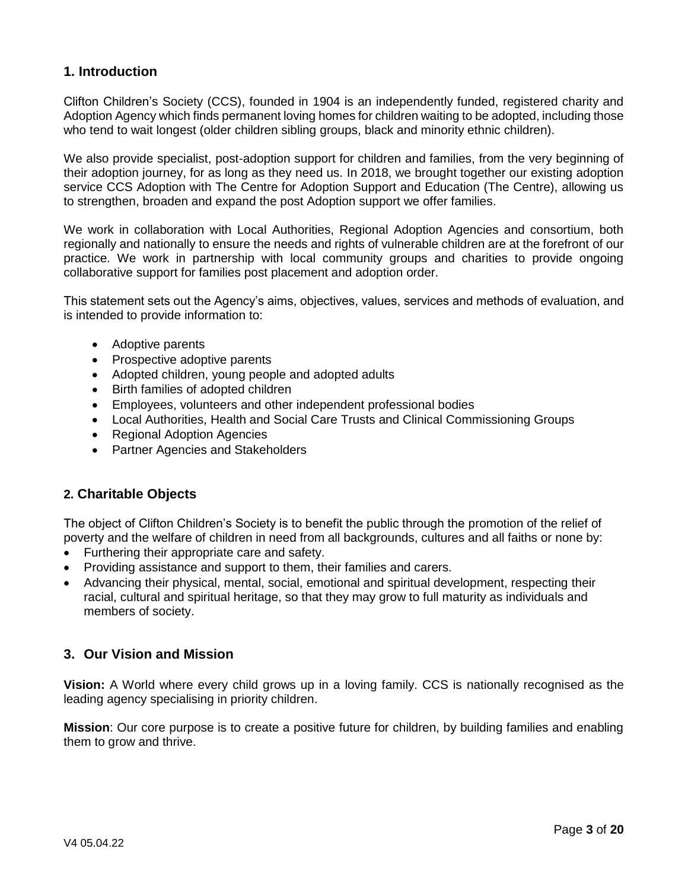#### **1. Introduction**

Clifton Children's Society (CCS), founded in 1904 is an independently funded, registered charity and Adoption Agency which finds permanent loving homes for children waiting to be adopted, including those who tend to wait longest (older children sibling groups, black and minority ethnic children).

We also provide specialist, post-adoption support for children and families, from the very beginning of their adoption journey, for as long as they need us. In 2018, we brought together our existing adoption service CCS Adoption with The Centre for Adoption Support and Education (The Centre), allowing us to strengthen, broaden and expand the post Adoption support we offer families.

We work in collaboration with Local Authorities, Regional Adoption Agencies and consortium, both regionally and nationally to ensure the needs and rights of vulnerable children are at the forefront of our practice. We work in partnership with local community groups and charities to provide ongoing collaborative support for families post placement and adoption order.

This statement sets out the Agency's aims, objectives, values, services and methods of evaluation, and is intended to provide information to:

- Adoptive parents
- Prospective adoptive parents
- Adopted children, young people and adopted adults
- Birth families of adopted children
- Employees, volunteers and other independent professional bodies
- Local Authorities, Health and Social Care Trusts and Clinical Commissioning Groups
- Regional Adoption Agencies
- Partner Agencies and Stakeholders

#### **2. Charitable Objects**

The object of Clifton Children's Society is to benefit the public through the promotion of the relief of poverty and the welfare of children in need from all backgrounds, cultures and all faiths or none by:

- Furthering their appropriate care and safety.
- Providing assistance and support to them, their families and carers.
- Advancing their physical, mental, social, emotional and spiritual development, respecting their racial, cultural and spiritual heritage, so that they may grow to full maturity as individuals and members of society.

#### **3. Our Vision and Mission**

**Vision:** A World where every child grows up in a loving family. CCS is nationally recognised as the leading agency specialising in priority children.

**Mission**: Our core purpose is to create a positive future for children, by building families and enabling them to grow and thrive.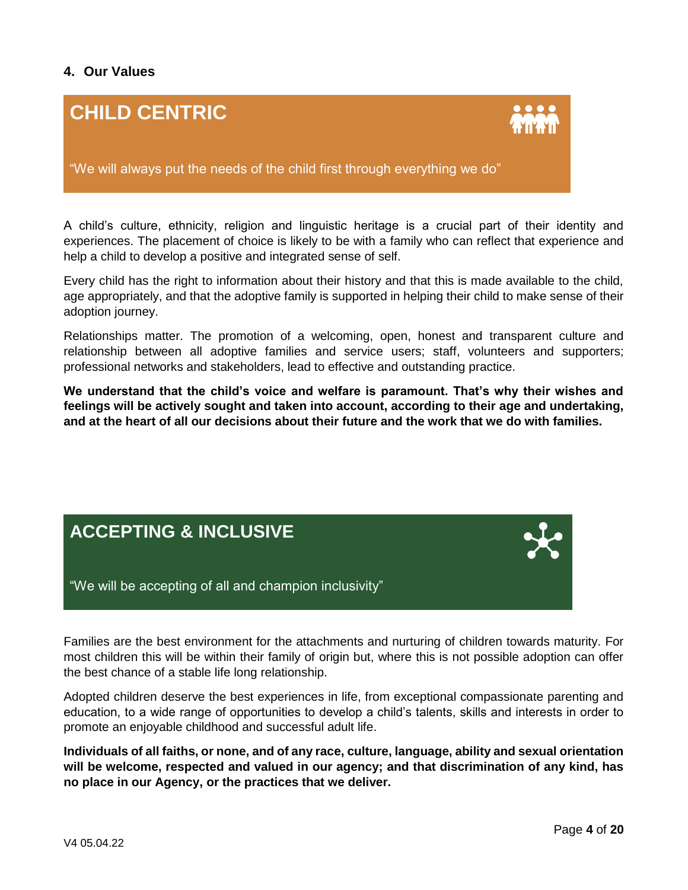## **4. Our Values**

# **CHILD CENTRIC**



"We will always put the needs of the child first through everything we do"

A child's culture, ethnicity, religion and linguistic heritage is a crucial part of their identity and experiences. The placement of choice is likely to be with a family who can reflect that experience and help a child to develop a positive and integrated sense of self.

Every child has the right to information about their history and that this is made available to the child, age appropriately, and that the adoptive family is supported in helping their child to make sense of their adoption journey.

Relationships matter. The promotion of a welcoming, open, honest and transparent culture and relationship between all adoptive families and service users; staff, volunteers and supporters; professional networks and stakeholders, lead to effective and outstanding practice.

**We understand that the child's voice and welfare is paramount. That's why their wishes and feelings will be actively sought and taken into account, according to their age and undertaking, and at the heart of all our decisions about their future and the work that we do with families.** 

# **ACCEPTING & INCLUSIVE**



"We will be accepting of all and champion inclusivity"

Families are the best environment for the attachments and nurturing of children towards maturity. For most children this will be within their family of origin but, where this is not possible adoption can offer the best chance of a stable life long relationship.

Adopted children deserve the best experiences in life, from exceptional compassionate parenting and education, to a wide range of opportunities to develop a child's talents, skills and interests in order to promote an enjoyable childhood and successful adult life.

**Individuals of all faiths, or none, and of any race, culture, language, ability and sexual orientation will be welcome, respected and valued in our agency; and that discrimination of any kind, has no place in our Agency, or the practices that we deliver.**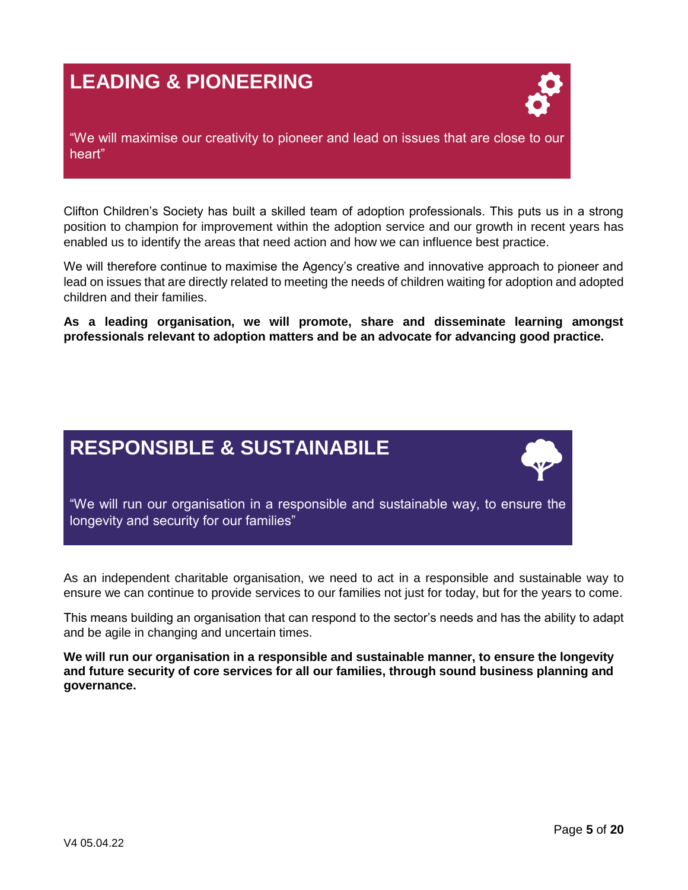# **LEADING & PIONEERING**



"We will maximise our creativity to pioneer and lead on issues that are close to our heart"

Clifton Children's Society has built a skilled team of adoption professionals. This puts us in a strong position to champion for improvement within the adoption service and our growth in recent years has enabled us to identify the areas that need action and how we can influence best practice.

We will therefore continue to maximise the Agency's creative and innovative approach to pioneer and lead on issues that are directly related to meeting the needs of children waiting for adoption and adopted children and their families.

**As a leading organisation, we will promote, share and disseminate learning amongst professionals relevant to adoption matters and be an advocate for advancing good practice.**

# **RESPONSIBLE & SUSTAINABILE**



As an independent charitable organisation, we need to act in a responsible and sustainable way to ensure we can continue to provide services to our families not just for today, but for the years to come.

This means building an organisation that can respond to the sector's needs and has the ability to adapt and be agile in changing and uncertain times.

**We will run our organisation in a responsible and sustainable manner, to ensure the longevity and future security of core services for all our families, through sound business planning and governance.**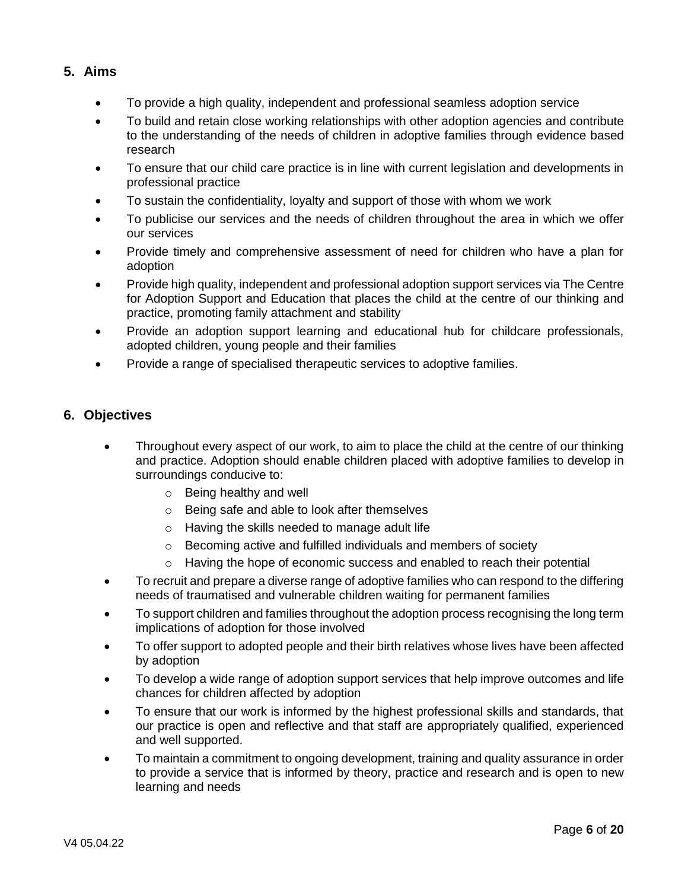#### **5. Aims**

- To provide a high quality, independent and professional seamless adoption service
- To build and retain close working relationships with other adoption agencies and contribute to the understanding of the needs of children in adoptive families through evidence based research
- To ensure that our child care practice is in line with current legislation and developments in professional practice
- To sustain the confidentiality, loyalty and support of those with whom we work
- To publicise our services and the needs of children throughout the area in which we offer our services
- Provide timely and comprehensive assessment of need for children who have a plan for adoption
- Provide high quality, independent and professional adoption support services via The Centre for Adoption Support and Education that places the child at the centre of our thinking and practice, promoting family attachment and stability
- Provide an adoption support learning and educational hub for childcare professionals, adopted children, young people and their families
- Provide a range of specialised therapeutic services to adoptive families.

#### **6. Objectives**

- Throughout every aspect of our work, to aim to place the child at the centre of our thinking and practice. Adoption should enable children placed with adoptive families to develop in surroundings conducive to:
	- o Being healthy and well
	- o Being safe and able to look after themselves
	- o Having the skills needed to manage adult life
	- o Becoming active and fulfilled individuals and members of society
	- $\circ$  Having the hope of economic success and enabled to reach their potential
- To recruit and prepare a diverse range of adoptive families who can respond to the differing needs of traumatised and vulnerable children waiting for permanent families
- To support children and families throughout the adoption process recognising the long term implications of adoption for those involved
- To offer support to adopted people and their birth relatives whose lives have been affected by adoption
- To develop a wide range of adoption support services that help improve outcomes and life chances for children affected by adoption
- To ensure that our work is informed by the highest professional skills and standards, that our practice is open and reflective and that staff are appropriately qualified, experienced and well supported.
- To maintain a commitment to ongoing development, training and quality assurance in order to provide a service that is informed by theory, practice and research and is open to new learning and needs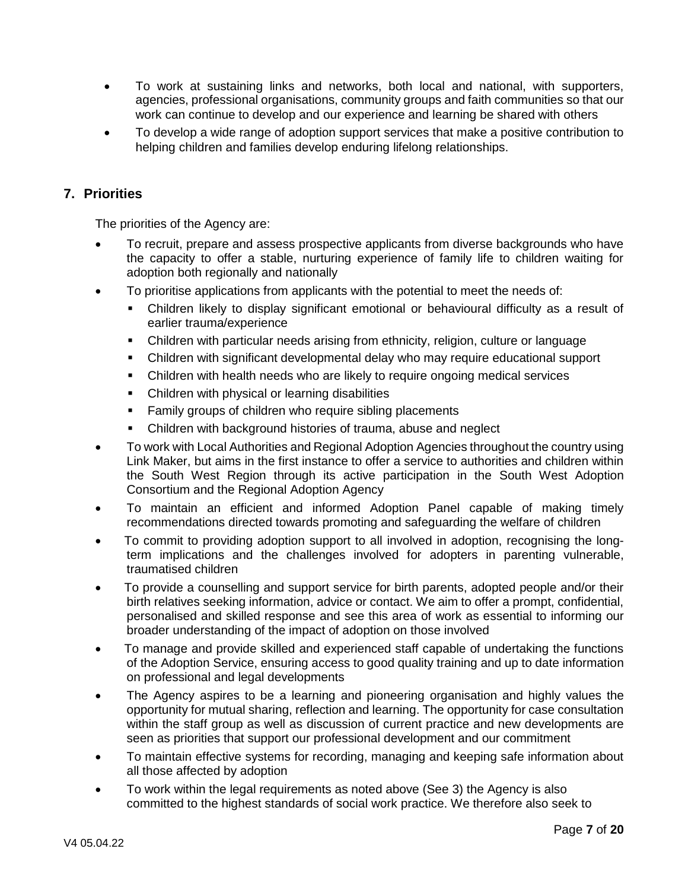- To work at sustaining links and networks, both local and national, with supporters, agencies, professional organisations, community groups and faith communities so that our work can continue to develop and our experience and learning be shared with others
- To develop a wide range of adoption support services that make a positive contribution to helping children and families develop enduring lifelong relationships.

#### **7. Priorities**

The priorities of the Agency are:

- To recruit, prepare and assess prospective applicants from diverse backgrounds who have the capacity to offer a stable, nurturing experience of family life to children waiting for adoption both regionally and nationally
- To prioritise applications from applicants with the potential to meet the needs of:
	- Children likely to display significant emotional or behavioural difficulty as a result of earlier trauma/experience
	- Children with particular needs arising from ethnicity, religion, culture or language
	- Children with significant developmental delay who may require educational support
	- Children with health needs who are likely to require ongoing medical services
	- Children with physical or learning disabilities
	- **Family groups of children who require sibling placements**
	- Children with background histories of trauma, abuse and neglect
- To work with Local Authorities and Regional Adoption Agencies throughout the country using Link Maker, but aims in the first instance to offer a service to authorities and children within the South West Region through its active participation in the South West Adoption Consortium and the Regional Adoption Agency
- To maintain an efficient and informed Adoption Panel capable of making timely recommendations directed towards promoting and safeguarding the welfare of children
- To commit to providing adoption support to all involved in adoption, recognising the longterm implications and the challenges involved for adopters in parenting vulnerable, traumatised children
- To provide a counselling and support service for birth parents, adopted people and/or their birth relatives seeking information, advice or contact. We aim to offer a prompt, confidential, personalised and skilled response and see this area of work as essential to informing our broader understanding of the impact of adoption on those involved
- To manage and provide skilled and experienced staff capable of undertaking the functions of the Adoption Service, ensuring access to good quality training and up to date information on professional and legal developments
- The Agency aspires to be a learning and pioneering organisation and highly values the opportunity for mutual sharing, reflection and learning. The opportunity for case consultation within the staff group as well as discussion of current practice and new developments are seen as priorities that support our professional development and our commitment
- To maintain effective systems for recording, managing and keeping safe information about all those affected by adoption
- To work within the legal requirements as noted above (See 3) the Agency is also committed to the highest standards of social work practice. We therefore also seek to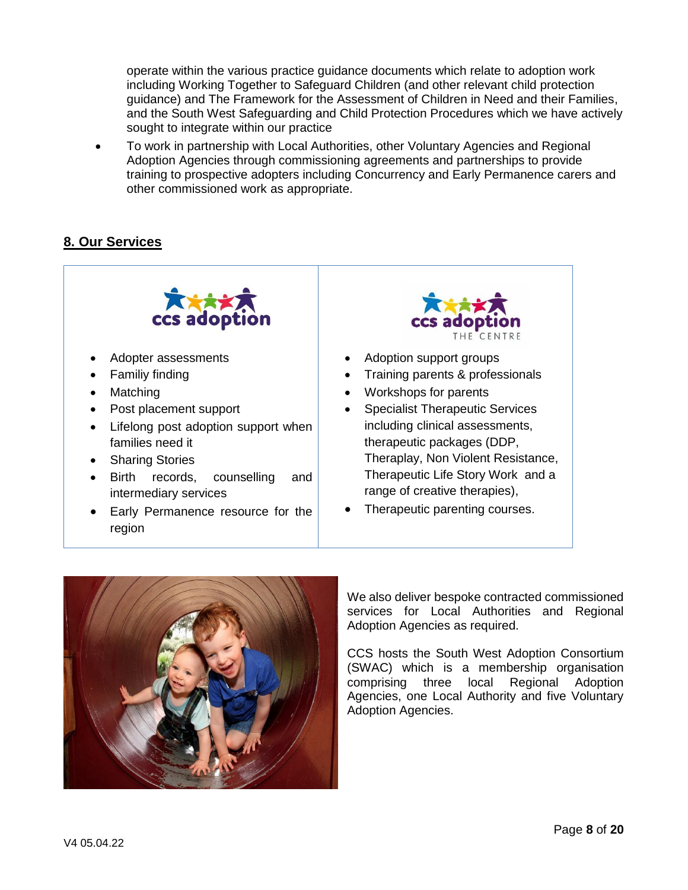operate within the various practice guidance documents which relate to adoption work including Working Together to Safeguard Children (and other relevant child protection guidance) and The Framework for the Assessment of Children in Need and their Families, and the South West Safeguarding and Child Protection Procedures which we have actively sought to integrate within our practice

 To work in partnership with Local Authorities, other Voluntary Agencies and Regional Adoption Agencies through commissioning agreements and partnerships to provide training to prospective adopters including Concurrency and Early Permanence carers and other commissioned work as appropriate.

#### **8. Our Services**



 Early Permanence resource for the region

- 
- Training parents & professionals
- Workshops for parents
- Specialist Therapeutic Services including clinical assessments, therapeutic packages (DDP, Theraplay, Non Violent Resistance, Therapeutic Life Story Work and a range of creative therapies),
- Therapeutic parenting courses.



We also deliver bespoke contracted commissioned services for Local Authorities and Regional Adoption Agencies as required.

CCS hosts the South West Adoption Consortium (SWAC) which is a membership organisation comprising three local Regional Adoption Agencies, one Local Authority and five Voluntary Adoption Agencies.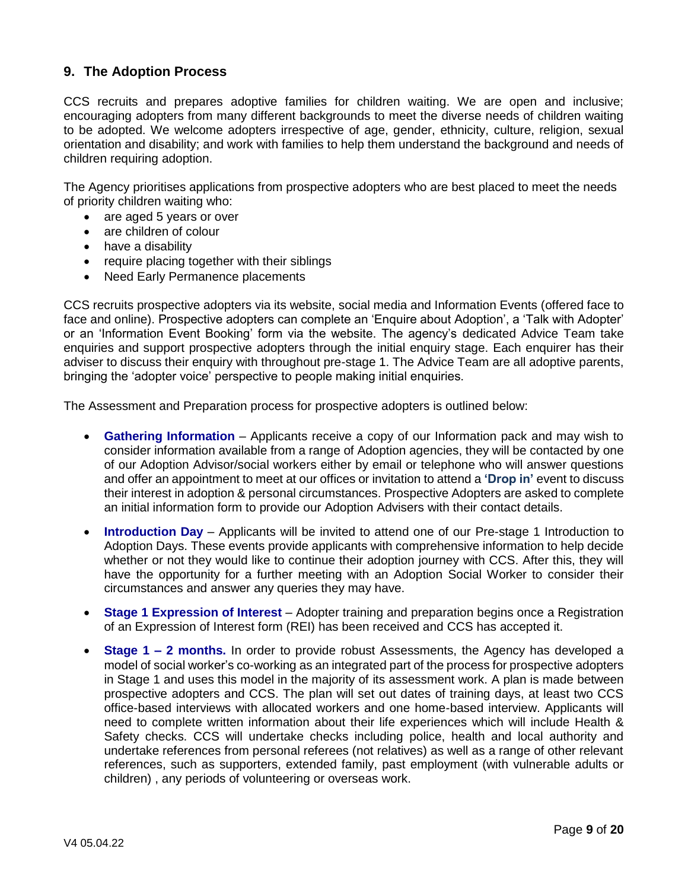#### **9. The Adoption Process**

CCS recruits and prepares adoptive families for children waiting. We are open and inclusive; encouraging adopters from many different backgrounds to meet the diverse needs of children waiting to be adopted. We welcome adopters irrespective of age, gender, ethnicity, culture, religion, sexual orientation and disability; and work with families to help them understand the background and needs of children requiring adoption.

The Agency prioritises applications from prospective adopters who are best placed to meet the needs of priority children waiting who:

- are aged 5 years or over
- are children of colour
- have a disability
- require placing together with their siblings
- Need Early Permanence placements

CCS recruits prospective adopters via its website, social media and Information Events (offered face to face and online). Prospective adopters can complete an 'Enquire about Adoption', a 'Talk with Adopter' or an 'Information Event Booking' form via the website. The agency's dedicated Advice Team take enquiries and support prospective adopters through the initial enquiry stage. Each enquirer has their adviser to discuss their enquiry with throughout pre-stage 1. The Advice Team are all adoptive parents, bringing the 'adopter voice' perspective to people making initial enquiries.

The Assessment and Preparation process for prospective adopters is outlined below:

- **Gathering Information**  Applicants receive a copy of our Information pack and may wish to consider information available from a range of Adoption agencies, they will be contacted by one of our Adoption Advisor/social workers either by email or telephone who will answer questions and offer an appointment to meet at our offices or invitation to attend a **'Drop in'** event to discuss their interest in adoption & personal circumstances. Prospective Adopters are asked to complete an initial information form to provide our Adoption Advisers with their contact details.
- **Introduction Day** Applicants will be invited to attend one of our Pre-stage 1 Introduction to Adoption Days. These events provide applicants with comprehensive information to help decide whether or not they would like to continue their adoption journey with CCS. After this, they will have the opportunity for a further meeting with an Adoption Social Worker to consider their circumstances and answer any queries they may have.
- **Stage 1 Expression of Interest** Adopter training and preparation begins once a Registration of an Expression of Interest form (REI) has been received and CCS has accepted it.
- **Stage 1 – 2 months.** In order to provide robust Assessments, the Agency has developed a model of social worker's co-working as an integrated part of the process for prospective adopters in Stage 1 and uses this model in the majority of its assessment work. A plan is made between prospective adopters and CCS. The plan will set out dates of training days, at least two CCS office-based interviews with allocated workers and one home-based interview. Applicants will need to complete written information about their life experiences which will include Health & Safety checks. CCS will undertake checks including police, health and local authority and undertake references from personal referees (not relatives) as well as a range of other relevant references, such as supporters, extended family, past employment (with vulnerable adults or children) , any periods of volunteering or overseas work.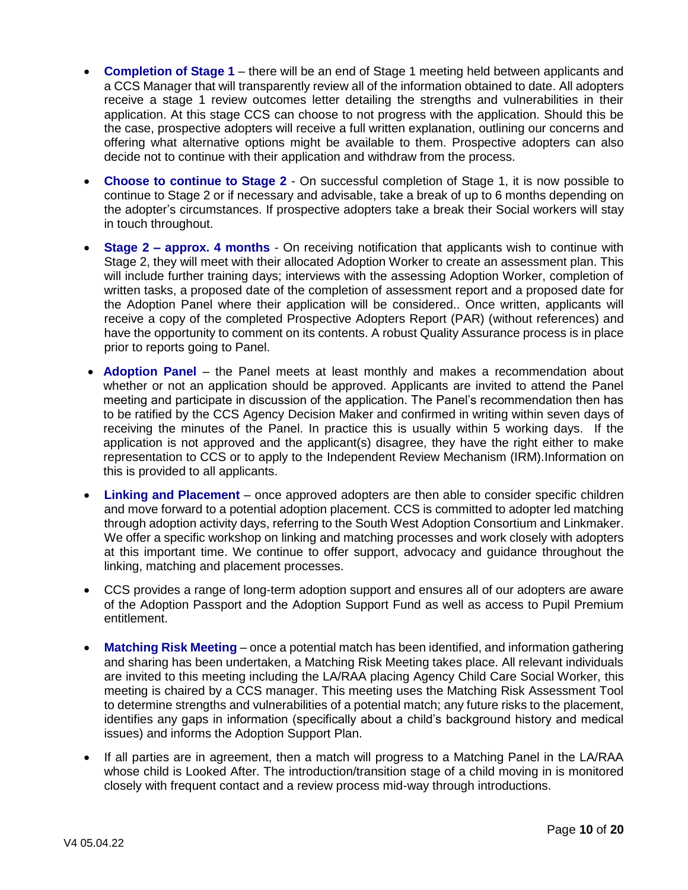- **Completion of Stage 1**  there will be an end of Stage 1 meeting held between applicants and a CCS Manager that will transparently review all of the information obtained to date. All adopters receive a stage 1 review outcomes letter detailing the strengths and vulnerabilities in their application. At this stage CCS can choose to not progress with the application. Should this be the case, prospective adopters will receive a full written explanation, outlining our concerns and offering what alternative options might be available to them. Prospective adopters can also decide not to continue with their application and withdraw from the process.
- **Choose to continue to Stage 2**  On successful completion of Stage 1, it is now possible to continue to Stage 2 or if necessary and advisable, take a break of up to 6 months depending on the adopter's circumstances. If prospective adopters take a break their Social workers will stay in touch throughout.
- **Stage 2 – approx. 4 months**  On receiving notification that applicants wish to continue with Stage 2, they will meet with their allocated Adoption Worker to create an assessment plan. This will include further training days; interviews with the assessing Adoption Worker, completion of written tasks, a proposed date of the completion of assessment report and a proposed date for the Adoption Panel where their application will be considered.. Once written, applicants will receive a copy of the completed Prospective Adopters Report (PAR) (without references) and have the opportunity to comment on its contents. A robust Quality Assurance process is in place prior to reports going to Panel.
- **Adoption Panel**  the Panel meets at least monthly and makes a recommendation about whether or not an application should be approved. Applicants are invited to attend the Panel meeting and participate in discussion of the application. The Panel's recommendation then has to be ratified by the CCS Agency Decision Maker and confirmed in writing within seven days of receiving the minutes of the Panel. In practice this is usually within 5 working days. If the application is not approved and the applicant(s) disagree, they have the right either to make representation to CCS or to apply to the Independent Review Mechanism (IRM).Information on this is provided to all applicants.
- **Linking and Placement**  once approved adopters are then able to consider specific children and move forward to a potential adoption placement. CCS is committed to adopter led matching through adoption activity days, referring to the South West Adoption Consortium and Linkmaker. We offer a specific workshop on linking and matching processes and work closely with adopters at this important time. We continue to offer support, advocacy and guidance throughout the linking, matching and placement processes.
- CCS provides a range of long-term adoption support and ensures all of our adopters are aware of the Adoption Passport and the Adoption Support Fund as well as access to Pupil Premium entitlement.
- **Matching Risk Meeting**  once a potential match has been identified, and information gathering and sharing has been undertaken, a Matching Risk Meeting takes place. All relevant individuals are invited to this meeting including the LA/RAA placing Agency Child Care Social Worker, this meeting is chaired by a CCS manager. This meeting uses the Matching Risk Assessment Tool to determine strengths and vulnerabilities of a potential match; any future risks to the placement, identifies any gaps in information (specifically about a child's background history and medical issues) and informs the Adoption Support Plan.
- If all parties are in agreement, then a match will progress to a Matching Panel in the LA/RAA whose child is Looked After. The introduction/transition stage of a child moving in is monitored closely with frequent contact and a review process mid-way through introductions.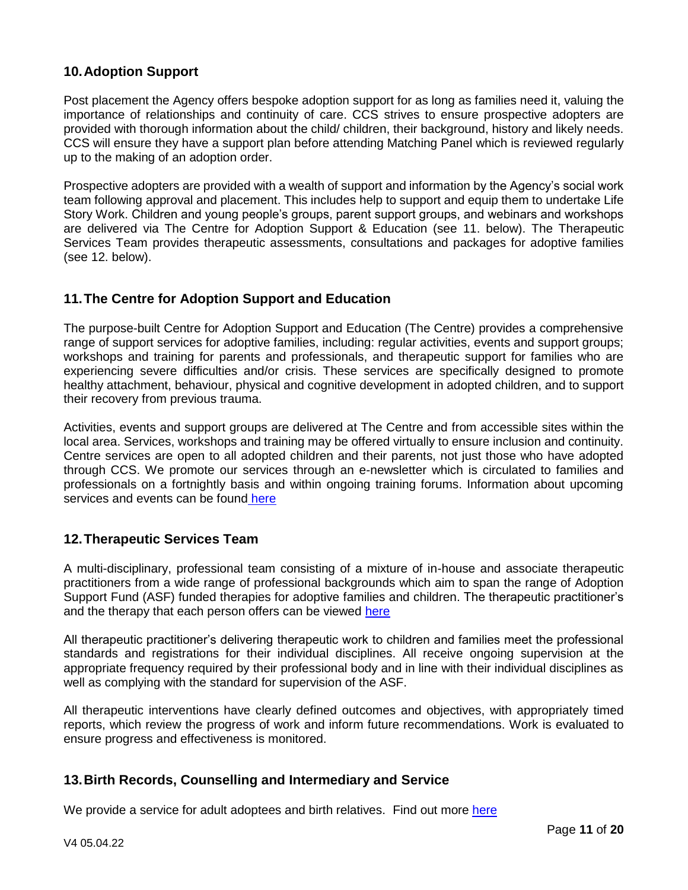## **10.Adoption Support**

Post placement the Agency offers bespoke adoption support for as long as families need it, valuing the importance of relationships and continuity of care. CCS strives to ensure prospective adopters are provided with thorough information about the child/ children, their background, history and likely needs. CCS will ensure they have a support plan before attending Matching Panel which is reviewed regularly up to the making of an adoption order.

Prospective adopters are provided with a wealth of support and information by the Agency's social work team following approval and placement. This includes help to support and equip them to undertake Life Story Work. Children and young people's groups, parent support groups, and webinars and workshops are delivered via The Centre for Adoption Support & Education (see 11. below). The Therapeutic Services Team provides therapeutic assessments, consultations and packages for adoptive families (see 12. below).

#### **11.The Centre for Adoption Support and Education**

The purpose-built Centre for Adoption Support and Education (The Centre) provides a comprehensive range of support services for adoptive families, including: regular activities, events and support groups; workshops and training for parents and professionals, and therapeutic support for families who are experiencing severe difficulties and/or crisis. These services are specifically designed to promote healthy attachment, behaviour, physical and cognitive development in adopted children, and to support their recovery from previous trauma.

Activities, events and support groups are delivered at The Centre and from accessible sites within the local area. Services, workshops and training may be offered virtually to ensure inclusion and continuity. Centre services are open to all adopted children and their parents, not just those who have adopted through CCS. We promote our services through an e-newsletter which is circulated to families and professionals on a fortnightly basis and within ongoing training forums. Information about upcoming services an[d](https://www.ccsadoption.org/the-centre/) events can be found [here](https://www.ccsadoption.org/the-centre/therapy/therapies/)

#### **12.Therapeutic Services Team**

A multi-disciplinary, professional team consisting of a mixture of in-house and associate therapeutic practitioners from a wide range of professional backgrounds which aim to span the range of Adoption Support Fund (ASF) funded therapies for adoptive families and children. The therapeutic practitioner's and the therapy that each person offers can be viewed [here](https://www.ccsadoption.org/the-centre/therapy/therapies/)

All therapeutic practitioner's delivering therapeutic work to children and families meet the professional standards and registrations for their individual disciplines. All receive ongoing supervision at the appropriate frequency required by their professional body and in line with their individual disciplines as well as complying with the standard for supervision of the ASF.

All therapeutic interventions have clearly defined outcomes and objectives, with appropriately timed reports, which review the progress of work and inform future recommendations. Work is evaluated to ensure progress and effectiveness is monitored.

#### **13.Birth Records, Counselling and Intermediary and Service**

We provide a service for adult adoptees and birth relatives. Find out more [here](https://www.ccsadoption.org/the-centre/search-reunion/adopted-adults/)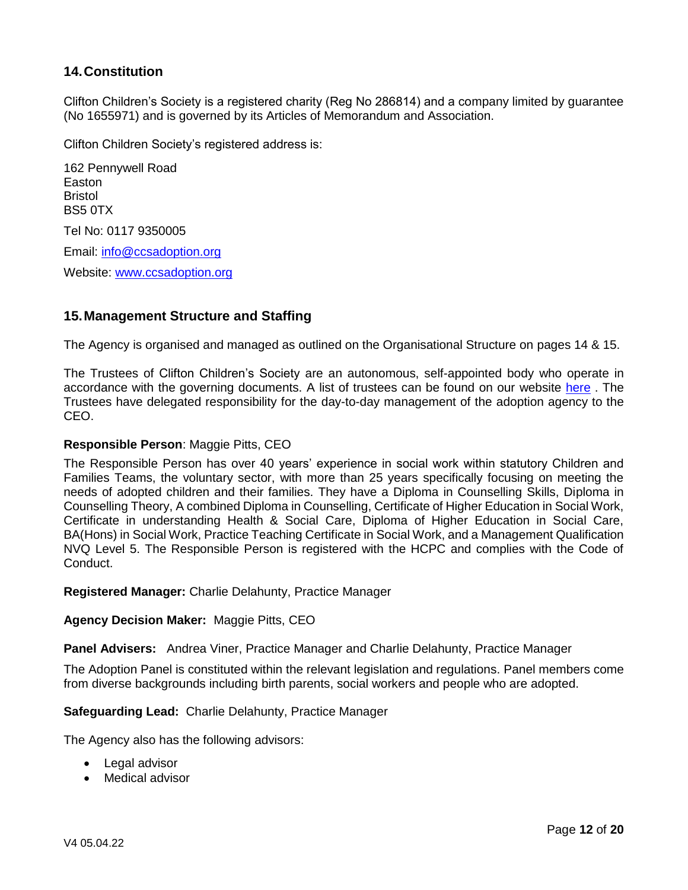### **14.Constitution**

Clifton Children's Society is a registered charity (Reg No 286814) and a company limited by guarantee (No 1655971) and is governed by its Articles of Memorandum and Association.

Clifton Children Society's registered address is:

162 Pennywell Road Easton Bristol BS5 0TX Tel No: 0117 9350005 Email: [info@ccsadoption.org](mailto:info@ccsadoption.org) Website: [www.ccsadoption.org](http://www.ccsadoption.org/)

#### **15.Management Structure and Staffing**

The Agency is organised and managed as outlined on the Organisational Structure on pages 14 & 15.

The Trustees of Clifton Children's Society are an autonomous, self-appointed body who operate in accordance with the governing documents. A list of trustees can be found on our website [here](https://www.ccsadoption.org/who-we-are/meet-the-team/) . The Trustees have delegated responsibility for the day-to-day management of the adoption agency to the CEO.

#### **Responsible Person**: Maggie Pitts, CEO

The Responsible Person has over 40 years' experience in social work within statutory Children and Families Teams, the voluntary sector, with more than 25 years specifically focusing on meeting the needs of adopted children and their families. They have a Diploma in Counselling Skills, Diploma in Counselling Theory, A combined Diploma in Counselling, Certificate of Higher Education in Social Work, Certificate in understanding Health & Social Care, Diploma of Higher Education in Social Care, BA(Hons) in Social Work, Practice Teaching Certificate in Social Work, and a Management Qualification NVQ Level 5. The Responsible Person is registered with the HCPC and complies with the Code of Conduct.

**Registered Manager:** Charlie Delahunty, Practice Manager

#### **Agency Decision Maker:** Maggie Pitts, CEO

**Panel Advisers:** Andrea Viner, Practice Manager and Charlie Delahunty, Practice Manager

The Adoption Panel is constituted within the relevant legislation and regulations. Panel members come from diverse backgrounds including birth parents, social workers and people who are adopted.

**Safeguarding Lead:** Charlie Delahunty, Practice Manager

The Agency also has the following advisors:

- Legal advisor
- Medical advisor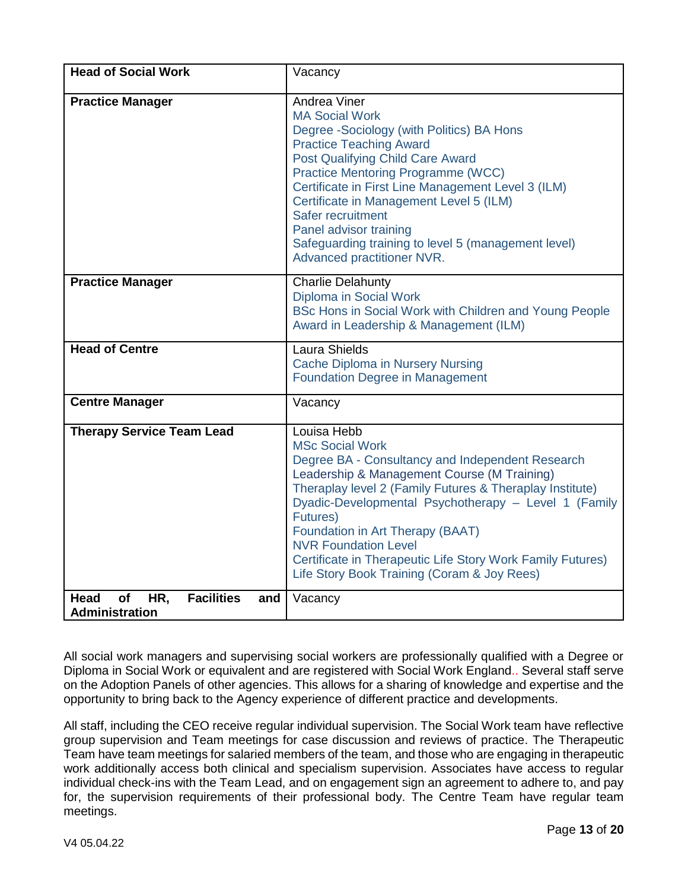| <b>Head of Social Work</b>                                             | Vacancy                                                                                                                                                                                                                                                                                                                                                                                                                                                          |
|------------------------------------------------------------------------|------------------------------------------------------------------------------------------------------------------------------------------------------------------------------------------------------------------------------------------------------------------------------------------------------------------------------------------------------------------------------------------------------------------------------------------------------------------|
| <b>Practice Manager</b>                                                | Andrea Viner<br><b>MA Social Work</b><br>Degree -Sociology (with Politics) BA Hons<br><b>Practice Teaching Award</b><br>Post Qualifying Child Care Award<br><b>Practice Mentoring Programme (WCC)</b><br>Certificate in First Line Management Level 3 (ILM)<br>Certificate in Management Level 5 (ILM)<br>Safer recruitment<br>Panel advisor training<br>Safeguarding training to level 5 (management level)<br>Advanced practitioner NVR.                       |
| <b>Practice Manager</b>                                                | <b>Charlie Delahunty</b><br>Diploma in Social Work<br>BSc Hons in Social Work with Children and Young People<br>Award in Leadership & Management (ILM)                                                                                                                                                                                                                                                                                                           |
| <b>Head of Centre</b>                                                  | Laura Shields<br>Cache Diploma in Nursery Nursing<br><b>Foundation Degree in Management</b>                                                                                                                                                                                                                                                                                                                                                                      |
| <b>Centre Manager</b>                                                  | Vacancy                                                                                                                                                                                                                                                                                                                                                                                                                                                          |
| <b>Therapy Service Team Lead</b>                                       | Louisa Hebb<br><b>MSc Social Work</b><br>Degree BA - Consultancy and Independent Research<br>Leadership & Management Course (M Training)<br>Theraplay level 2 (Family Futures & Theraplay Institute)<br>Dyadic-Developmental Psychotherapy - Level 1 (Family<br><b>Futures</b> )<br>Foundation in Art Therapy (BAAT)<br><b>NVR Foundation Level</b><br>Certificate in Therapeutic Life Story Work Family Futures)<br>Life Story Book Training (Coram & Joy Rees) |
| HR,<br><b>Facilities</b><br>Head<br>of<br>and<br><b>Administration</b> | Vacancy                                                                                                                                                                                                                                                                                                                                                                                                                                                          |

All social work managers and supervising social workers are professionally qualified with a Degree or Diploma in Social Work or equivalent and are registered with Social Work England.. Several staff serve on the Adoption Panels of other agencies. This allows for a sharing of knowledge and expertise and the opportunity to bring back to the Agency experience of different practice and developments.

All staff, including the CEO receive regular individual supervision. The Social Work team have reflective group supervision and Team meetings for case discussion and reviews of practice. The Therapeutic Team have team meetings for salaried members of the team, and those who are engaging in therapeutic work additionally access both clinical and specialism supervision. Associates have access to regular individual check-ins with the Team Lead, and on engagement sign an agreement to adhere to, and pay for, the supervision requirements of their professional body. The Centre Team have regular team meetings.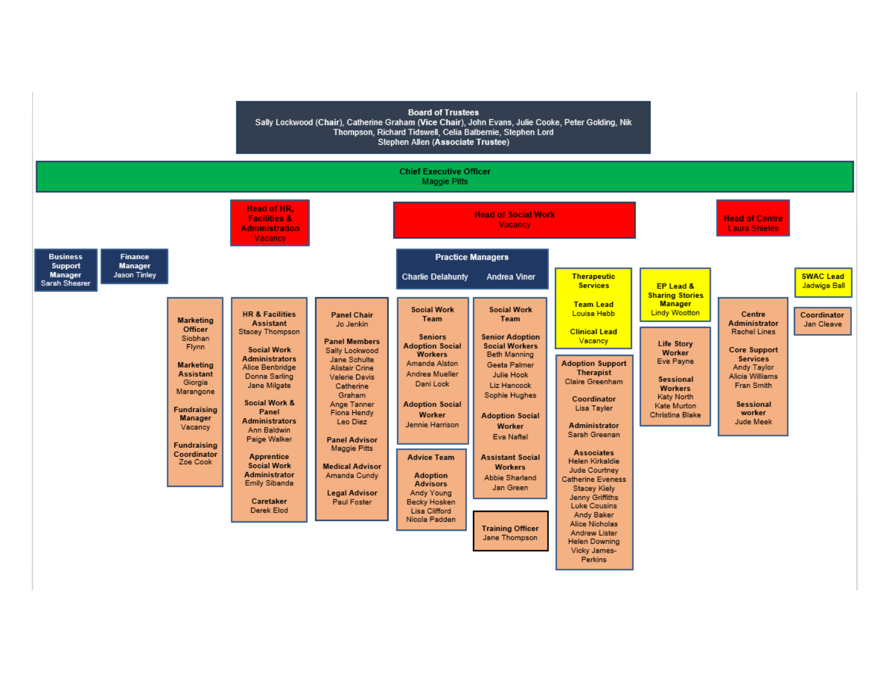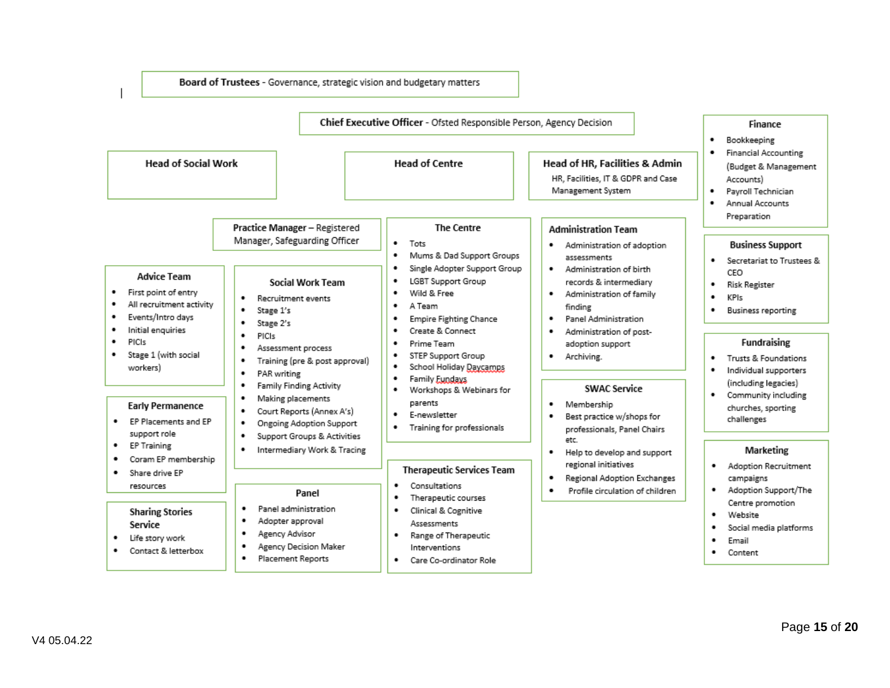Board of Trustees - Governance, strategic vision and budgetary matters

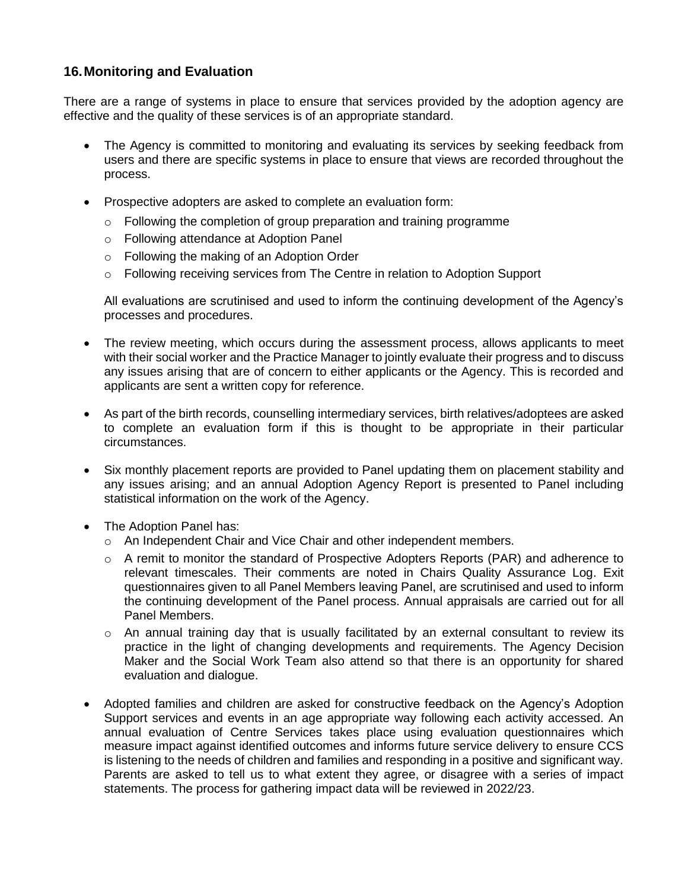## **16.Monitoring and Evaluation**

There are a range of systems in place to ensure that services provided by the adoption agency are effective and the quality of these services is of an appropriate standard.

- The Agency is committed to monitoring and evaluating its services by seeking feedback from users and there are specific systems in place to ensure that views are recorded throughout the process.
- Prospective adopters are asked to complete an evaluation form:
	- o Following the completion of group preparation and training programme
	- o Following attendance at Adoption Panel
	- o Following the making of an Adoption Order
	- $\circ$  Following receiving services from The Centre in relation to Adoption Support

All evaluations are scrutinised and used to inform the continuing development of the Agency's processes and procedures.

- The review meeting, which occurs during the assessment process, allows applicants to meet with their social worker and the Practice Manager to jointly evaluate their progress and to discuss any issues arising that are of concern to either applicants or the Agency. This is recorded and applicants are sent a written copy for reference.
- As part of the birth records, counselling intermediary services, birth relatives/adoptees are asked to complete an evaluation form if this is thought to be appropriate in their particular circumstances.
- Six monthly placement reports are provided to Panel updating them on placement stability and any issues arising; and an annual Adoption Agency Report is presented to Panel including statistical information on the work of the Agency.
- The Adoption Panel has:
	- o An Independent Chair and Vice Chair and other independent members.
	- $\circ$  A remit to monitor the standard of Prospective Adopters Reports (PAR) and adherence to relevant timescales. Their comments are noted in Chairs Quality Assurance Log. Exit questionnaires given to all Panel Members leaving Panel, are scrutinised and used to inform the continuing development of the Panel process. Annual appraisals are carried out for all Panel Members.
	- $\circ$  An annual training day that is usually facilitated by an external consultant to review its practice in the light of changing developments and requirements. The Agency Decision Maker and the Social Work Team also attend so that there is an opportunity for shared evaluation and dialogue.
- Adopted families and children are asked for constructive feedback on the Agency's Adoption Support services and events in an age appropriate way following each activity accessed. An annual evaluation of Centre Services takes place using evaluation questionnaires which measure impact against identified outcomes and informs future service delivery to ensure CCS is listening to the needs of children and families and responding in a positive and significant way. Parents are asked to tell us to what extent they agree, or disagree with a series of impact statements. The process for gathering impact data will be reviewed in 2022/23.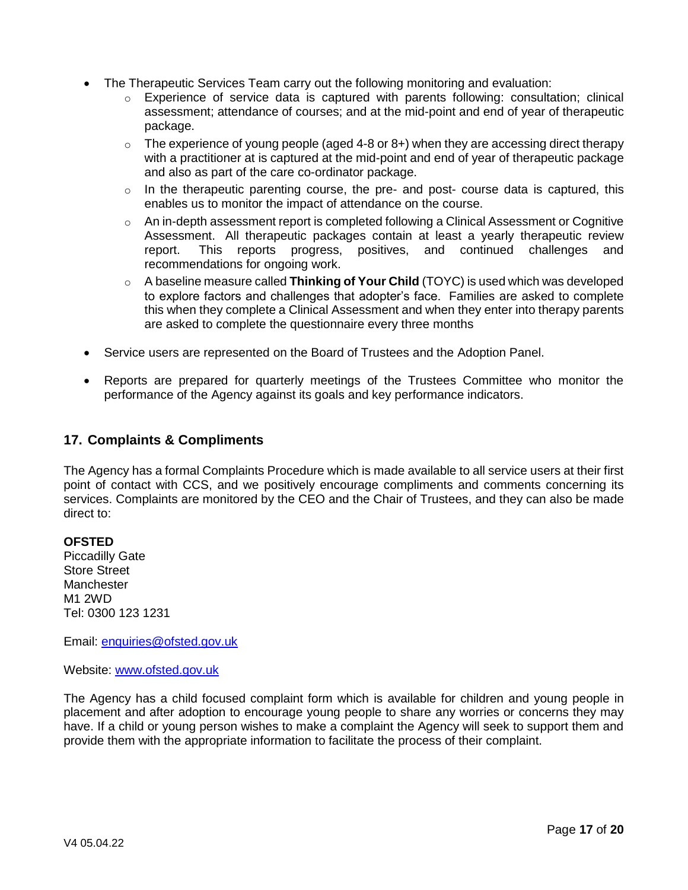- The Therapeutic Services Team carry out the following monitoring and evaluation:
	- $\circ$  Experience of service data is captured with parents following: consultation; clinical assessment; attendance of courses; and at the mid-point and end of year of therapeutic package.
	- $\circ$  The experience of young people (aged 4-8 or 8+) when they are accessing direct therapy with a practitioner at is captured at the mid-point and end of year of therapeutic package and also as part of the care co-ordinator package.
	- $\circ$  In the therapeutic parenting course, the pre- and post- course data is captured, this enables us to monitor the impact of attendance on the course.
	- $\circ$  An in-depth assessment report is completed following a Clinical Assessment or Cognitive Assessment. All therapeutic packages contain at least a yearly therapeutic review report. This reports progress, positives, and continued challenges and recommendations for ongoing work.
	- o A baseline measure called **Thinking of Your Child** (TOYC) is used which was developed to explore factors and challenges that adopter's face. Families are asked to complete this when they complete a Clinical Assessment and when they enter into therapy parents are asked to complete the questionnaire every three months
- Service users are represented on the Board of Trustees and the Adoption Panel.
- Reports are prepared for quarterly meetings of the Trustees Committee who monitor the performance of the Agency against its goals and key performance indicators.

#### **17. Complaints & Compliments**

The Agency has a formal Complaints Procedure which is made available to all service users at their first point of contact with CCS, and we positively encourage compliments and comments concerning its services. Complaints are monitored by the CEO and the Chair of Trustees, and they can also be made direct to:

#### **OFSTED**

Piccadilly Gate Store Street **Manchester** M1 2WD Tel: 0300 123 1231

Email: [enquiries@ofsted.gov.uk](mailto:enquiries@ofsted.gov.uk)

Website: [www.ofsted.gov.uk](http://www.ofsted.gov.uk/)

The Agency has a child focused complaint form which is available for children and young people in placement and after adoption to encourage young people to share any worries or concerns they may have. If a child or young person wishes to make a complaint the Agency will seek to support them and provide them with the appropriate information to facilitate the process of their complaint.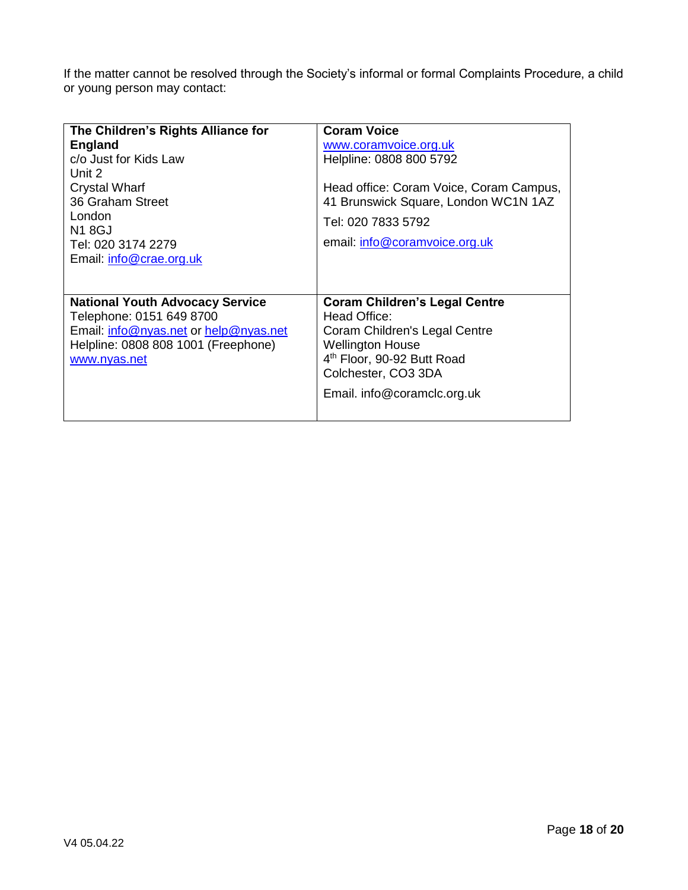If the matter cannot be resolved through the Society's informal or formal Complaints Procedure, a child or young person may contact:

| The Children's Rights Alliance for<br><b>England</b><br>c/o Just for Kids Law<br>Unit 2<br><b>Crystal Wharf</b><br>36 Graham Street<br>London<br><b>N1 8GJ</b><br>Tel: 020 3174 2279<br>Email: info@crae.org.uk | <b>Coram Voice</b><br>www.coramvoice.org.uk<br>Helpline: 0808 800 5792<br>Head office: Coram Voice, Coram Campus,<br>41 Brunswick Square, London WC1N 1AZ<br>Tel: 020 7833 5792<br>email: info@coramvoice.org.uk |
|-----------------------------------------------------------------------------------------------------------------------------------------------------------------------------------------------------------------|------------------------------------------------------------------------------------------------------------------------------------------------------------------------------------------------------------------|
| <b>National Youth Advocacy Service</b><br>Telephone: 0151 649 8700<br>Email: info@nyas.net or help@nyas.net<br>Helpline: 0808 808 1001 (Freephone)<br>www.nyas.net                                              | <b>Coram Children's Legal Centre</b><br>Head Office:<br>Coram Children's Legal Centre<br><b>Wellington House</b><br>4 <sup>th</sup> Floor, 90-92 Butt Road<br>Colchester, CO3 3DA<br>Email. info@coramclc.org.uk |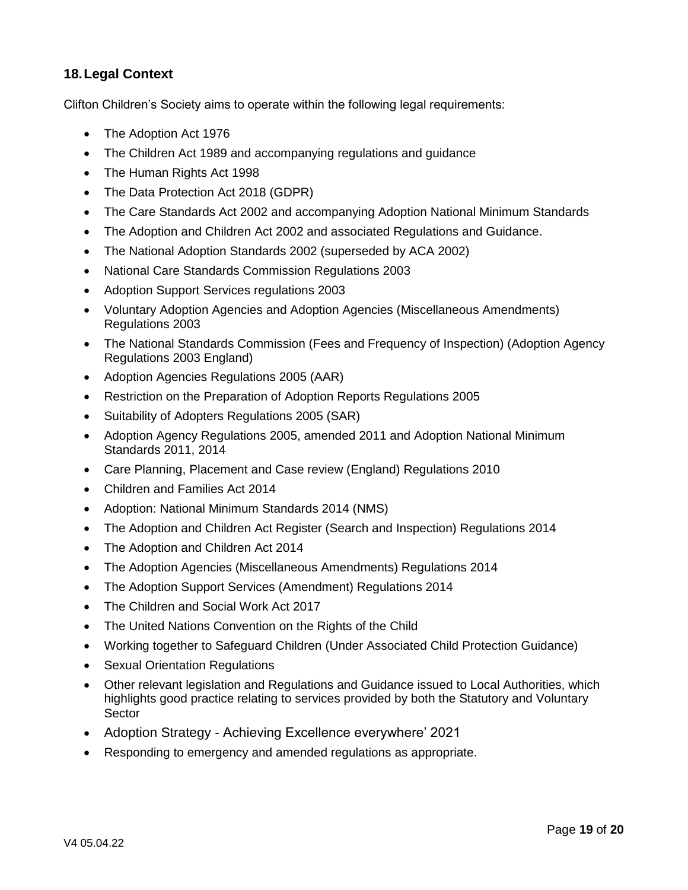## **18.Legal Context**

Clifton Children's Society aims to operate within the following legal requirements:

- The Adoption Act 1976
- The Children Act 1989 and accompanying regulations and guidance
- The Human Rights Act 1998
- The Data Protection Act 2018 (GDPR)
- The Care Standards Act 2002 and accompanying Adoption National Minimum Standards
- The Adoption and Children Act 2002 and associated Regulations and Guidance.
- The National Adoption Standards 2002 (superseded by ACA 2002)
- National Care Standards Commission Regulations 2003
- Adoption Support Services regulations 2003
- Voluntary Adoption Agencies and Adoption Agencies (Miscellaneous Amendments) Regulations 2003
- The National Standards Commission (Fees and Frequency of Inspection) (Adoption Agency Regulations 2003 England)
- Adoption Agencies Regulations 2005 (AAR)
- Restriction on the Preparation of Adoption Reports Regulations 2005
- Suitability of Adopters Regulations 2005 (SAR)
- Adoption Agency Regulations 2005, amended 2011 and Adoption National Minimum Standards 2011, 2014
- Care Planning, Placement and Case review (England) Regulations 2010
- Children and Families Act 2014
- Adoption: National Minimum Standards 2014 (NMS)
- The Adoption and Children Act Register (Search and Inspection) Regulations 2014
- The Adoption and Children Act 2014
- The Adoption Agencies (Miscellaneous Amendments) Regulations 2014
- The Adoption Support Services (Amendment) Regulations 2014
- The Children and Social Work Act 2017
- The United Nations Convention on the Rights of the Child
- Working together to Safeguard Children (Under Associated Child Protection Guidance)
- Sexual Orientation Regulations
- Other relevant legislation and Regulations and Guidance issued to Local Authorities, which highlights good practice relating to services provided by both the Statutory and Voluntary **Sector**
- Adoption Strategy Achieving Excellence everywhere' 2021
- Responding to emergency and amended regulations as appropriate.